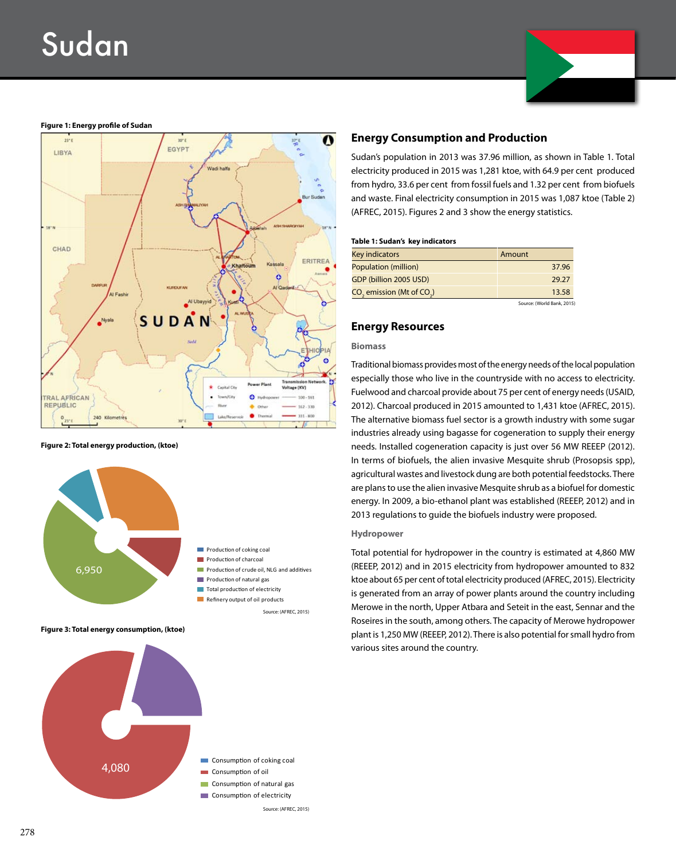# Sudan



## **Figure 1: Energy profile of Sudan**



**Figure 2: Total energy production, (ktoe)**



**Figure 3: Total energy consumption, (ktoe)**



## **Energy Consumption and Production**

Sudan's population in 2013 was 37.96 million, as shown in Table 1. Total electricity produced in 2015 was 1,281 ktoe, with 64.9 per cent produced from hydro, 33.6 per cent from fossil fuels and 1.32 per cent from biofuels and waste. Final electricity consumption in 2015 was 1,087 ktoe (Table 2) (AFREC, 2015). Figures 2 and 3 show the energy statistics.

#### **Table 1: Sudan's key indicators**

| Key indicators                | Amount |
|-------------------------------|--------|
| Population (million)          | 37.96  |
| GDP (billion 2005 USD)        | 29.27  |
| $CO2$ emission (Mt of $CO2$ ) | 13.58  |

Source: (World Bank, 2015)

## **Energy Resources**

#### **Biomass**

Traditional biomass provides most of the energy needs of the local population especially those who live in the countryside with no access to electricity. Fuelwood and charcoal provide about 75 per cent of energy needs (USAID, 2012). Charcoal produced in 2015 amounted to 1,431 ktoe (AFREC, 2015). The alternative biomass fuel sector is a growth industry with some sugar industries already using bagasse for cogeneration to supply their energy needs. Installed cogeneration capacity is just over 56 MW REEEP (2012). In terms of biofuels, the alien invasive Mesquite shrub (Prosopsis spp), agricultural wastes and livestock dung are both potential feedstocks. There are plans to use the alien invasive Mesquite shrub as a biofuel for domestic energy. In 2009, a bio-ethanol plant was established (REEEP, 2012) and in 2013 regulations to guide the biofuels industry were proposed.

## **Hydropower**

Total potential for hydropower in the country is estimated at 4,860 MW (REEEP, 2012) and in 2015 electricity from hydropower amounted to 832 ktoe about 65 per cent of total electricity produced (AFREC, 2015). Electricity is generated from an array of power plants around the country including Merowe in the north, Upper Atbara and Seteit in the east, Sennar and the Roseires in the south, among others. The capacity of Merowe hydropower plant is 1,250 MW (REEEP, 2012). There is also potential for small hydro from various sites around the country.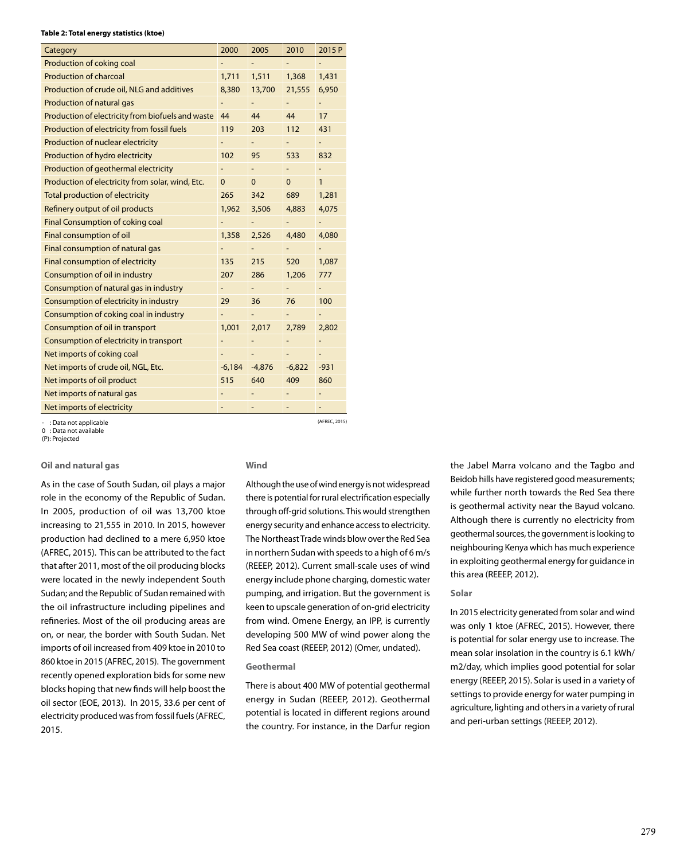#### **Table 2: Total energy statistics (ktoe)**

| Category                                          | 2000        | 2005        | 2010         | 2015 P                   |
|---------------------------------------------------|-------------|-------------|--------------|--------------------------|
| Production of coking coal                         |             |             |              |                          |
| <b>Production of charcoal</b>                     |             | 1,511       | 1,368        | 1,431                    |
| Production of crude oil, NLG and additives        | 8,380       | 13,700      | 21,555       | 6,950                    |
| Production of natural gas                         |             |             |              |                          |
| Production of electricity from biofuels and waste | 44          | 44          | 44           | 17                       |
| Production of electricity from fossil fuels       | 119         | 203         | 112          | 431                      |
| Production of nuclear electricity                 |             |             |              | $\overline{\phantom{0}}$ |
| Production of hydro electricity                   | 102         | 95          | 533          | 832                      |
| Production of geothermal electricity              |             |             |              | $\qquad \qquad -$        |
| Production of electricity from solar, wind, Etc.  | $\mathbf 0$ | $\mathbf 0$ | $\mathbf{0}$ | $\mathbf{1}$             |
| <b>Total production of electricity</b>            | 265         | 342         | 689          | 1,281                    |
| Refinery output of oil products                   | 1,962       | 3,506       | 4,883        | 4,075                    |
| Final Consumption of coking coal                  |             |             |              |                          |
| Final consumption of oil                          | 1,358       | 2,526       | 4,480        | 4,080                    |
| Final consumption of natural gas                  |             |             |              |                          |
| Final consumption of electricity                  | 135         | 215         | 520          | 1,087                    |
| Consumption of oil in industry                    | 207         | 286         | 1,206        | 777                      |
| Consumption of natural gas in industry            | ۳           |             | -            | -                        |
| Consumption of electricity in industry            | 29          | 36          | 76           | 100                      |
| Consumption of coking coal in industry            |             |             |              |                          |
| Consumption of oil in transport                   | 1,001       | 2,017       | 2,789        | 2,802                    |
| Consumption of electricity in transport           |             |             |              | -                        |
| Net imports of coking coal                        |             |             |              | -                        |
| Net imports of crude oil, NGL, Etc.               | $-6,184$    | $-4,876$    | $-6,822$     | $-931$                   |
| Net imports of oil product                        | 515         | 640         | 409          | 860                      |
| Net imports of natural gas                        |             |             |              |                          |
| Net imports of electricity                        |             |             |              |                          |
| . Data not annlicahle .                           |             |             |              | (AFREC, 2015)            |

- : Data not applicable 0 : Data not available

(P): Projected

## **Oil and natural gas**

As in the case of South Sudan, oil plays a major role in the economy of the Republic of Sudan. In 2005, production of oil was 13,700 ktoe increasing to 21,555 in 2010. In 2015, however production had declined to a mere 6,950 ktoe (AFREC, 2015). This can be attributed to the fact that after 2011, most of the oil producing blocks were located in the newly independent South Sudan; and the Republic of Sudan remained with the oil infrastructure including pipelines and refineries. Most of the oil producing areas are on, or near, the border with South Sudan. Net imports of oil increased from 409 ktoe in 2010 to 860 ktoe in 2015 (AFREC, 2015). The government recently opened exploration bids for some new blocks hoping that new finds will help boost the oil sector (EOE, 2013). In 2015, 33.6 per cent of electricity produced was from fossil fuels (AFREC, 2015.

### **Wind**

Although the use of wind energy is not widespread there is potential for rural electrification especially through off-grid solutions. This would strengthen energy security and enhance access to electricity. The Northeast Trade winds blow over the Red Sea in northern Sudan with speeds to a high of 6 m/s (REEEP, 2012). Current small-scale uses of wind energy include phone charging, domestic water pumping, and irrigation. But the government is keen to upscale generation of on-grid electricity from wind. Omene Energy, an IPP, is currently developing 500 MW of wind power along the Red Sea coast (REEEP, 2012) (Omer, undated).

#### **Geothermal**

There is about 400 MW of potential geothermal energy in Sudan (REEEP, 2012). Geothermal potential is located in different regions around the country. For instance, in the Darfur region

the Jabel Marra volcano and the Tagbo and Beidob hills have registered good measurements; while further north towards the Red Sea there is geothermal activity near the Bayud volcano. Although there is currently no electricity from geothermal sources, the government is looking to neighbouring Kenya which has much experience in exploiting geothermal energy for guidance in this area (REEEP, 2012).

## **Solar**

In 2015 electricity generated from solar and wind was only 1 ktoe (AFREC, 2015). However, there is potential for solar energy use to increase. The mean solar insolation in the country is 6.1 kWh/ m2/day, which implies good potential for solar energy (REEEP, 2015). Solar is used in a variety of settings to provide energy for water pumping in agriculture, lighting and others in a variety of rural and peri-urban settings (REEEP, 2012).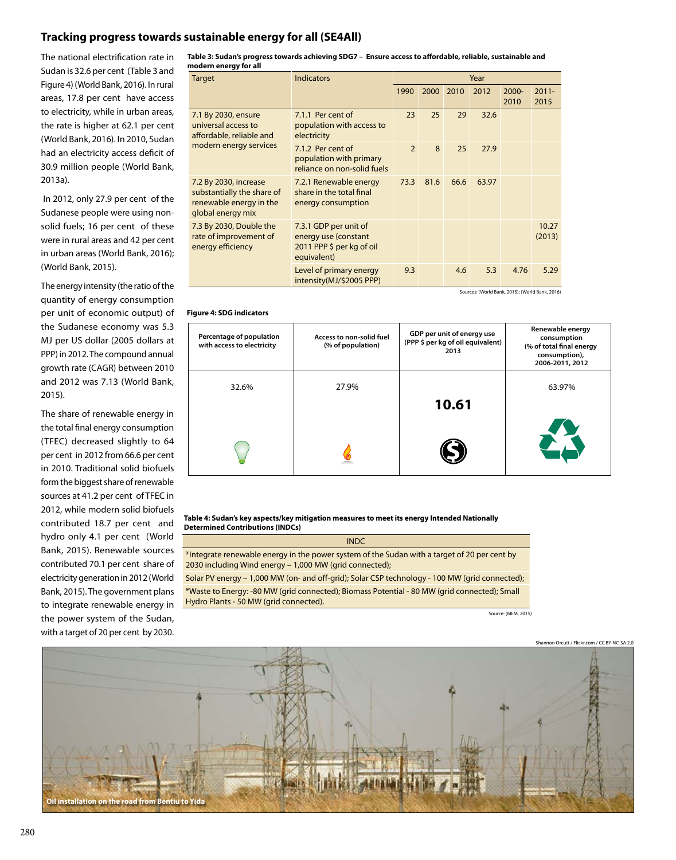# **Tracking progress towards sustainable energy for all (SE4All)**

The national electrification rate in Sudan is 32.6 per cent (Table 3 and Figure 4) (World Bank, 2016). In rural areas, 17.8 per cent have access to electricity, while in urban areas, the rate is higher at 62.1 per cent (World Bank, 2016). In 2010, Sudan had an electricity access deficit of 30.9 million people (World Bank, 2013a).

 In 2012, only 27.9 per cent of the Sudanese people were using nonsolid fuels; 16 per cent of these were in rural areas and 42 per cent in urban areas (World Bank, 2016); (World Bank, 2015).

The energy intensity (the ratio of the quantity of energy consumption per unit of economic output) of the Sudanese economy was 5.3 MJ per US dollar (2005 dollars at PPP) in 2012. The compound annual growth rate (CAGR) between 2010 and 2012 was 7.13 (World Bank, 2015).

The share of renewable energy in the total final energy consumption (TFEC) decreased slightly to 64 per cent in 2012 from 66.6 per cent in 2010. Traditional solid biofuels form the biggest share of renewable sources at 41.2 per cent of TFEC in 2012, while modern solid biofuels contributed 18.7 per cent and hydro only 4.1 per cent (World Bank, 2015). Renewable sources contributed 70.1 per cent share of electricity generation in 2012 (World Bank, 2015). The government plans to integrate renewable energy in the power system of the Sudan, with a target of 20 per cent by 2030.

| Table 3: Sudan's progress towards achieving SDG7 – Ensure access to affordable, reliable, sustainable and |  |
|-----------------------------------------------------------------------------------------------------------|--|
| modern energy for all                                                                                     |  |

| Target                                                                                              | Indicators                                                                                | Year          |             |      |       |                  |                  |
|-----------------------------------------------------------------------------------------------------|-------------------------------------------------------------------------------------------|---------------|-------------|------|-------|------------------|------------------|
|                                                                                                     |                                                                                           | 1990          | <b>2000</b> | 2010 | 2012  | $2000 -$<br>2010 | $2011 -$<br>2015 |
| 7.1 By 2030, ensure<br>universal access to<br>affordable, reliable and<br>modern energy services    | 7.1.1 Per cent of<br>population with access to<br>electricity                             | 23            | 25          | 29   | 32.6  |                  |                  |
|                                                                                                     | 7.1.2 Per cent of<br>population with primary<br>reliance on non-solid fuels               | $\mathcal{P}$ | 8           | 25   | 27.9  |                  |                  |
| 7.2 By 2030, increase<br>substantially the share of<br>renewable energy in the<br>global energy mix | 7.2.1 Renewable energy<br>share in the total final<br>energy consumption                  | 73.3          | 81.6        | 66.6 | 63.97 |                  |                  |
| 7.3 By 2030, Double the<br>rate of improvement of<br>energy efficiency                              | 7.3.1 GDP per unit of<br>energy use (constant<br>2011 PPP \$ per kg of oil<br>equivalent) |               |             |      |       |                  | 10.27<br>(2013)  |
|                                                                                                     | Level of primary energy<br>intensity(MJ/\$2005 PPP)                                       | 9.3           |             | 4.6  | 5.3   | 4.76             | 5.29             |
| Sources: (World Bank, 2015); (World Bank, 2016)                                                     |                                                                                           |               |             |      |       |                  |                  |

**Figure 4: SDG indicators**

| Percentage of population<br>with access to electricity | Access to non-solid fuel<br>(% of population) | GDP per unit of energy use<br>(PPP \$ per kg of oil equivalent)<br>2013 | Renewable energy<br>consumption<br>(% of total final energy<br>consumption),<br>2006-2011, 2012 |
|--------------------------------------------------------|-----------------------------------------------|-------------------------------------------------------------------------|-------------------------------------------------------------------------------------------------|
| 32.6%                                                  | 27.9%                                         | 10.61                                                                   | 63.97%                                                                                          |
|                                                        |                                               |                                                                         |                                                                                                 |

**Table 4: Sudan's key aspects/key mitigation measures to meet its energy Intended Nationally Determined Contributions (INDCs)**

| <b>INDC</b>                                                                                                                                             |
|---------------------------------------------------------------------------------------------------------------------------------------------------------|
| *Integrate renewable energy in the power system of the Sudan with a target of 20 per cent by<br>2030 including Wind energy - 1,000 MW (grid connected); |
| Solar PV energy - 1,000 MW (on- and off-grid); Solar CSP technology - 100 MW (grid connected);                                                          |
| *Waste to Energy: -80 MW (grid connected); Biomass Potential - 80 MW (grid connected); Small<br>Hydro Plants - 50 MW (grid connected).                  |

Source: (MEM, 2015)